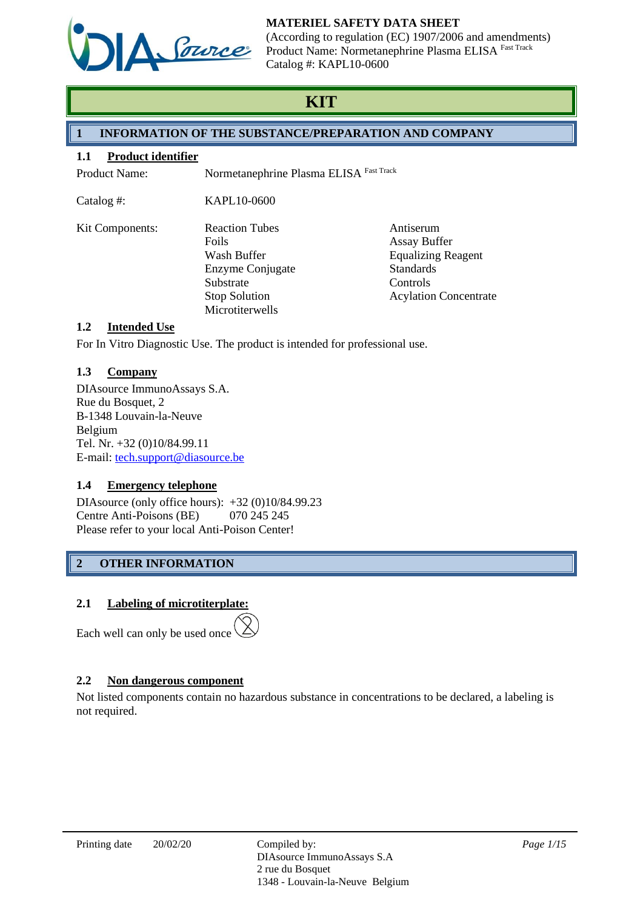

(According to regulation (EC) 1907/2006 and amendments) Product Name: Normetanephrine Plasma ELISA Fast Track Catalog #: KAPL10-0600

# **KIT**

# **1 INFORMATION OF THE SUBSTANCE/PREPARATION AND COMPANY**

## **1.1 Product identifier**

Product Name: Normetanephrine Plasma ELISA Fast Track

Catalog #: KAPL10-0600

| <b>Kit Components:</b> | <b>Reaction Tubes</b> | Antiserum                    |
|------------------------|-----------------------|------------------------------|
|                        | <b>Foils</b>          | <b>Assay Buffer</b>          |
|                        | Wash Buffer           | <b>Equalizing Reagent</b>    |
|                        | Enzyme Conjugate      | <b>Standards</b>             |
|                        | Substrate             | Controls                     |
|                        | <b>Stop Solution</b>  | <b>Acylation Concentrate</b> |
|                        | Microtiterwells       |                              |

# **1.2 Intended Use**

For In Vitro Diagnostic Use. The product is intended for professional use.

# **1.3 Company**

DIAsource ImmunoAssays S.A. Rue du Bosquet, 2 B-1348 Louvain-la-Neuve Belgium Tel. Nr. +32 (0)10/84.99.11 E-mail: [tech.support@diasource.be](mailto:tech.support@diasource.be)

# **1.4 Emergency telephone**

DIAsource (only office hours): +32 (0)10/84.99.23 Centre Anti-Poisons (BE) 070 245 245 Please refer to your local Anti-Poison Center!

# **2 OTHER INFORMATION**

# **2.1 Labeling of microtiterplate:**

Each well can only be used once

# **2.2 Non dangerous component**

Not listed components contain no hazardous substance in concentrations to be declared, a labeling is not required.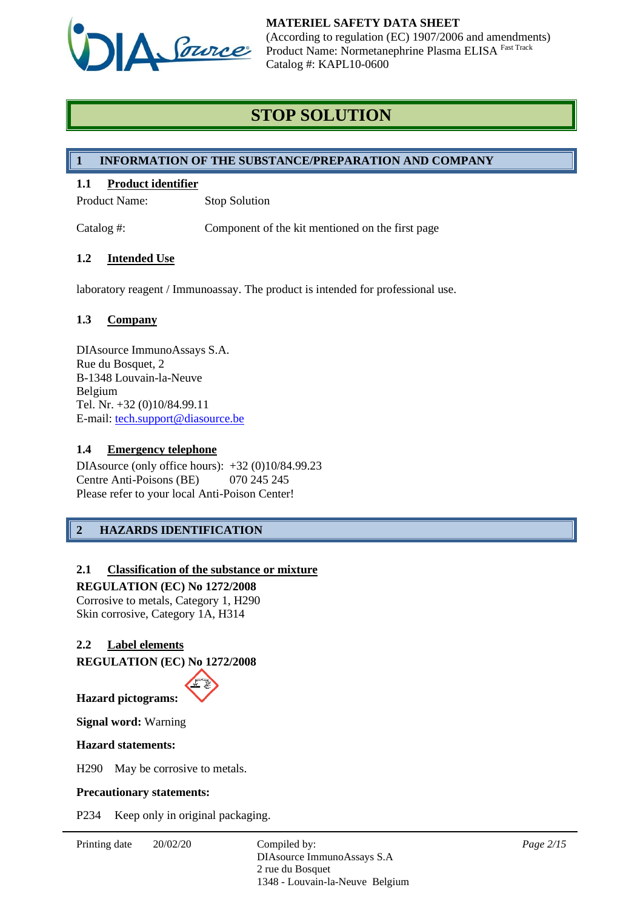

# **STOP SOLUTION**

## **1 INFORMATION OF THE SUBSTANCE/PREPARATION AND COMPANY**

# **1.1 Product identifier**

Product Name: Stop Solution

Catalog #: Component of the kit mentioned on the first page

## **1.2 Intended Use**

laboratory reagent / Immunoassay. The product is intended for professional use.

## **1.3 Company**

DIAsource ImmunoAssays S.A. Rue du Bosquet, 2 B-1348 Louvain-la-Neuve Belgium Tel. Nr. +32 (0)10/84.99.11 E-mail: [tech.support@diasource.be](mailto:tech.support@diasource.be)

#### **1.4 Emergency telephone**

DIAsource (only office hours): +32 (0)10/84.99.23 Centre Anti-Poisons (BE) 070 245 245 Please refer to your local Anti-Poison Center!

# **2 HAZARDS IDENTIFICATION**

## **2.1 Classification of the substance or mixture**

**REGULATION (EC) No 1272/2008** Corrosive to metals, Category 1, H290 Skin corrosive, Category 1A, H314

## **2.2 Label elements**

**REGULATION (EC) No 1272/2008**



**Signal word:** Warning

#### **Hazard statements:**

H290 May be corrosive to metals.

#### **Precautionary statements:**

P234 Keep only in original packaging.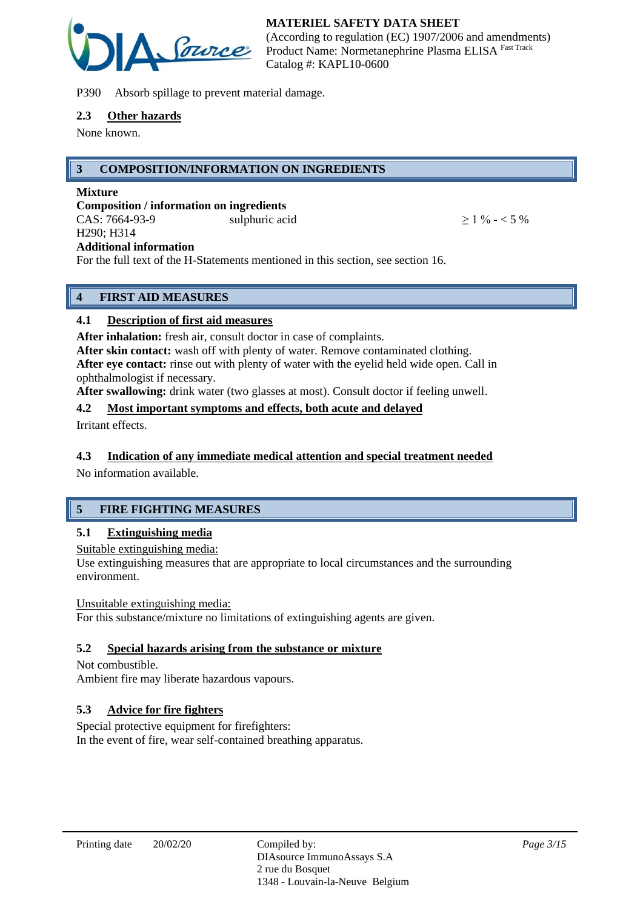

P390 Absorb spillage to prevent material damage.

#### **2.3 Other hazards**

None known.

# **3 COMPOSITION/INFORMATION ON INGREDIENTS**

#### **Mixture**

**Composition / information on ingredients** CAS:  $7664-93-9$  sulphuric acid  $> 1\% - 5\%$ H290; H314 **Additional information**

For the full text of the H-Statements mentioned in this section, see section 16.

# **4 FIRST AID MEASURES**

# **4.1 Description of first aid measures**

**After inhalation:** fresh air, consult doctor in case of complaints.

**After skin contact:** wash off with plenty of water. Remove contaminated clothing. **After eye contact:** rinse out with plenty of water with the eyelid held wide open. Call in ophthalmologist if necessary.

**After swallowing:** drink water (two glasses at most). Consult doctor if feeling unwell.

## **4.2 Most important symptoms and effects, both acute and delayed**

Irritant effects.

## **4.3 Indication of any immediate medical attention and special treatment needed**

No information available.

# **5 FIRE FIGHTING MEASURES**

## **5.1 Extinguishing media**

Suitable extinguishing media:

Use extinguishing measures that are appropriate to local circumstances and the surrounding environment.

## Unsuitable extinguishing media:

For this substance/mixture no limitations of extinguishing agents are given.

## **5.2 Special hazards arising from the substance or mixture**

Not combustible. Ambient fire may liberate hazardous vapours.

# **5.3 Advice for fire fighters**

Special protective equipment for firefighters: In the event of fire, wear self-contained breathing apparatus.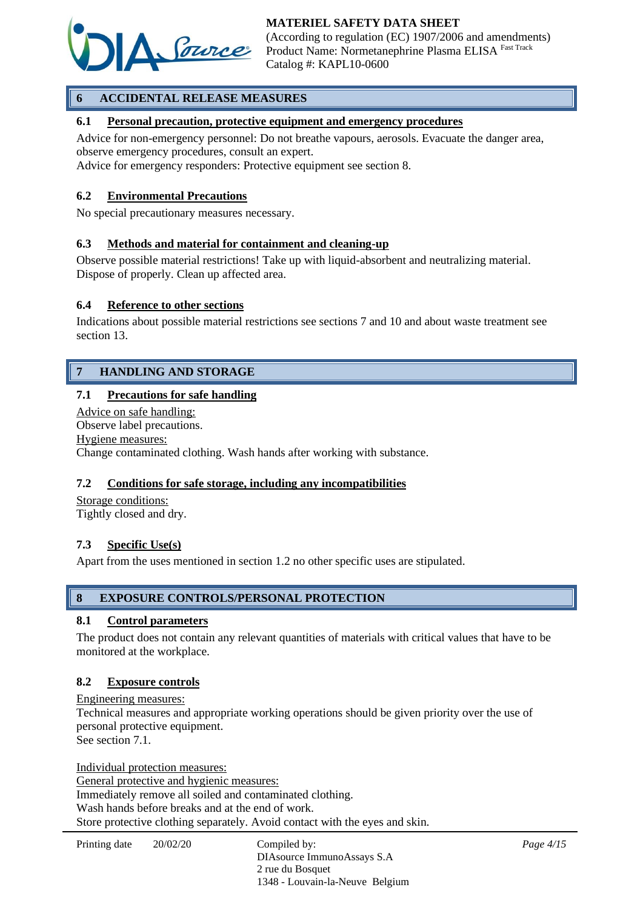

(According to regulation (EC) 1907/2006 and amendments) Product Name: Normetanephrine Plasma ELISA Fast Track Catalog #: KAPL10-0600

# **6 ACCIDENTAL RELEASE MEASURES**

## **6.1 Personal precaution, protective equipment and emergency procedures**

Advice for non-emergency personnel: Do not breathe vapours, aerosols. Evacuate the danger area, observe emergency procedures, consult an expert.

Advice for emergency responders: Protective equipment see section 8.

#### **6.2 Environmental Precautions**

No special precautionary measures necessary.

#### **6.3 Methods and material for containment and cleaning-up**

Observe possible material restrictions! Take up with liquid-absorbent and neutralizing material. Dispose of properly. Clean up affected area.

#### **6.4 Reference to other sections**

Indications about possible material restrictions see sections 7 and 10 and about waste treatment see section 13.

# **7 HANDLING AND STORAGE**

#### **7.1 Precautions for safe handling**

Advice on safe handling: Observe label precautions. Hygiene measures: Change contaminated clothing. Wash hands after working with substance.

#### **7.2 Conditions for safe storage, including any incompatibilities**

Storage conditions: Tightly closed and dry.

#### **7.3 Specific Use(s)**

Apart from the uses mentioned in section 1.2 no other specific uses are stipulated.

#### **8 EXPOSURE CONTROLS/PERSONAL PROTECTION**

#### **8.1 Control parameters**

The product does not contain any relevant quantities of materials with critical values that have to be monitored at the workplace.

#### **8.2 Exposure controls**

Engineering measures: Technical measures and appropriate working operations should be given priority over the use of personal protective equipment. See section 7.1.

Individual protection measures: General protective and hygienic measures: Immediately remove all soiled and contaminated clothing. Wash hands before breaks and at the end of work. Store protective clothing separately. Avoid contact with the eyes and skin.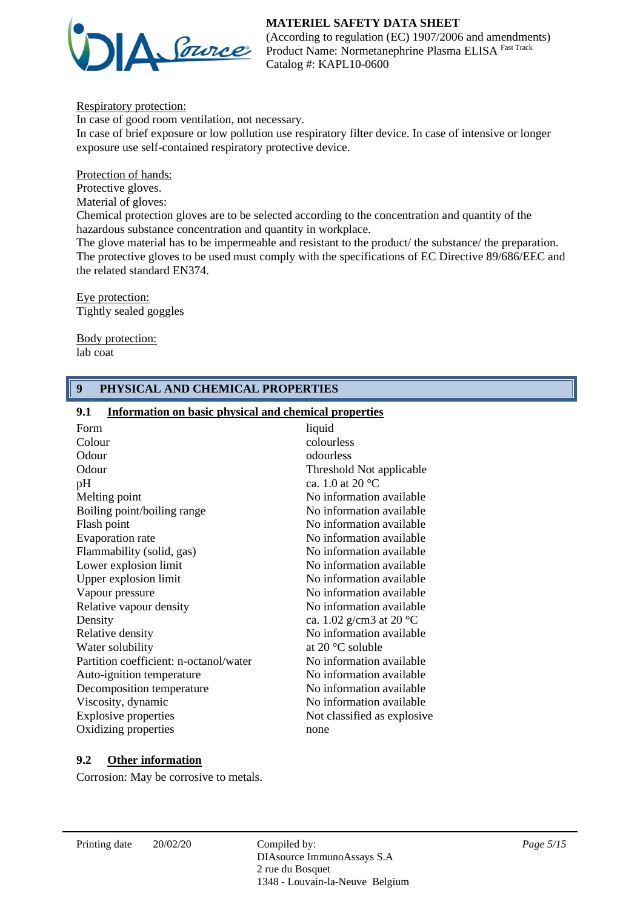

(According to regulation (EC) 1907/2006 and amendments) Product Name: Normetanephrine Plasma ELISA Fast Track Catalog #: KAPL10-0600

Respiratory protection:

In case of good room ventilation, not necessary. In case of brief exposure or low pollution use respiratory filter device. In case of intensive or longer exposure use self-contained respiratory protective device.

Protection of hands:

Protective gloves.

Material of gloves:

Chemical protection gloves are to be selected according to the concentration and quantity of the hazardous substance concentration and quantity in workplace.

The glove material has to be impermeable and resistant to the product/ the substance/ the preparation. The protective gloves to be used must comply with the specifications of EC Directive 89/686/EEC and the related standard EN374.

Eye protection: Tightly sealed goggles

Body protection: lab coat

## **9 PHYSICAL AND CHEMICAL PROPERTIES**

#### **9.1 Information on basic physical and chemical properties**

| Form                                   | liquid                            |
|----------------------------------------|-----------------------------------|
| Colour                                 | colourless                        |
| Odour                                  | odourless                         |
| Odour                                  | Threshold Not applicable          |
| pH                                     | ca. 1.0 at 20 $^{\circ}$ C        |
| Melting point                          | No information available          |
| Boiling point/boiling range            | No information available          |
| Flash point                            | No information available          |
| Evaporation rate                       | No information available          |
| Flammability (solid, gas)              | No information available          |
| Lower explosion limit                  | No information available          |
| Upper explosion limit                  | No information available          |
| Vapour pressure                        | No information available          |
| Relative vapour density                | No information available          |
| Density                                | ca. 1.02 g/cm3 at 20 $^{\circ}$ C |
| Relative density                       | No information available          |
| Water solubility                       | at 20 $\degree$ C soluble         |
| Partition coefficient: n-octanol/water | No information available          |
| Auto-ignition temperature              | No information available          |
| Decomposition temperature              | No information available          |
| Viscosity, dynamic                     | No information available          |
| <b>Explosive properties</b>            | Not classified as explosive       |
| Oxidizing properties                   | none                              |
|                                        |                                   |

## **9.2 Other information**

Corrosion: May be corrosive to metals.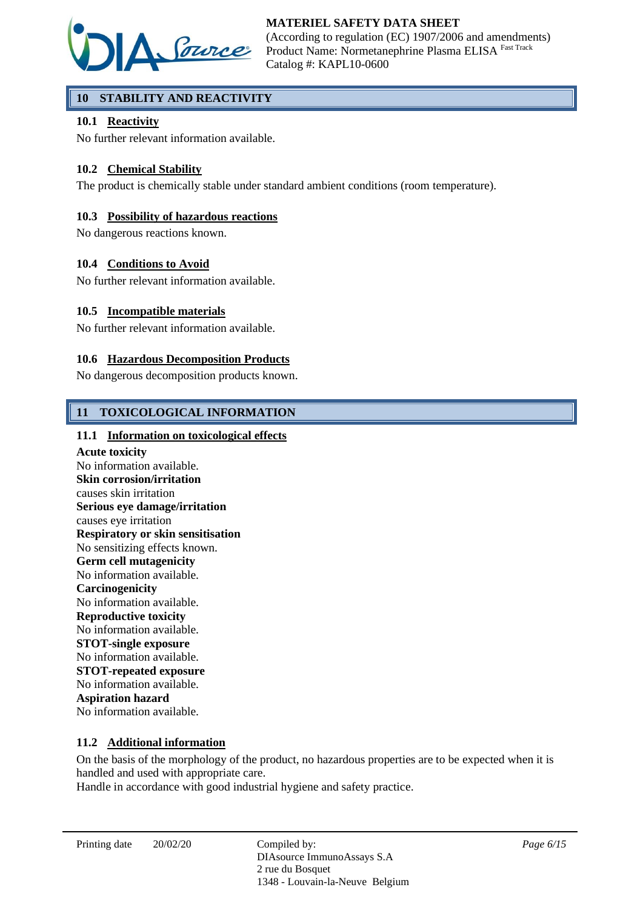

# **10 STABILITY AND REACTIVITY**

## **10.1 Reactivity**

No further relevant information available.

## **10.2 Chemical Stability**

The product is chemically stable under standard ambient conditions (room temperature).

## **10.3 Possibility of hazardous reactions**

No dangerous reactions known.

#### **10.4 Conditions to Avoid**

No further relevant information available.

#### **10.5 Incompatible materials**

No further relevant information available.

#### **10.6 Hazardous Decomposition Products**

No dangerous decomposition products known.

## **11 TOXICOLOGICAL INFORMATION**

#### **11.1 Information on toxicological effects**

**Acute toxicity** No information available. **Skin corrosion/irritation** causes skin irritation **Serious eye damage/irritation** causes eye irritation **Respiratory or skin sensitisation** No sensitizing effects known. **Germ cell mutagenicity** No information available. **Carcinogenicity** No information available. **Reproductive toxicity** No information available. **STOT-single exposure** No information available. **STOT-repeated exposure** No information available. **Aspiration hazard** No information available.

#### **11.2 Additional information**

On the basis of the morphology of the product, no hazardous properties are to be expected when it is handled and used with appropriate care.

Handle in accordance with good industrial hygiene and safety practice.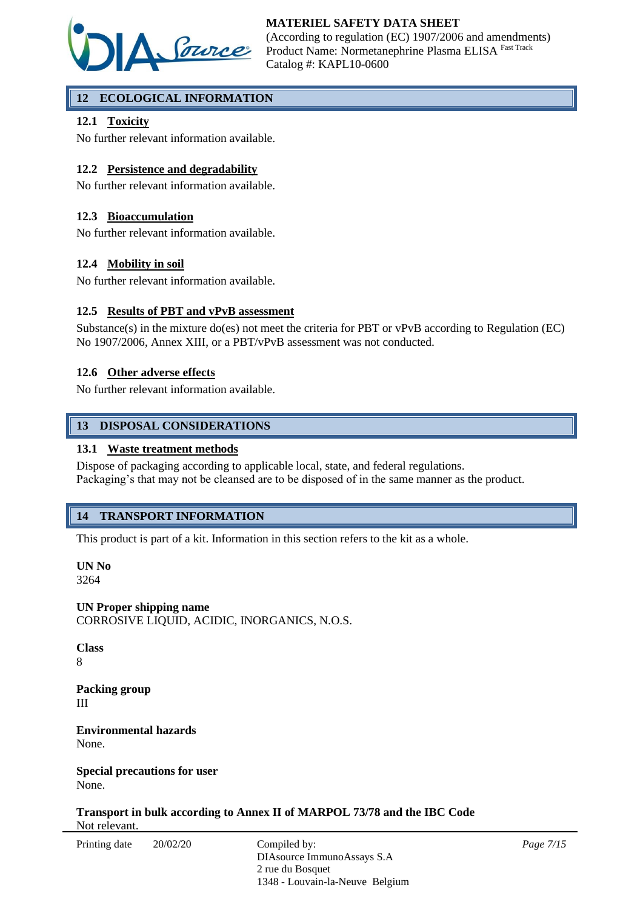

(According to regulation (EC) 1907/2006 and amendments) Product Name: Normetanephrine Plasma ELISA Fast Track Catalog #: KAPL10-0600

# **12 ECOLOGICAL INFORMATION**

## **12.1 Toxicity**

No further relevant information available.

## **12.2 Persistence and degradability**

No further relevant information available.

## **12.3 Bioaccumulation**

No further relevant information available.

## **12.4 Mobility in soil**

No further relevant information available.

## **12.5 Results of PBT and vPvB assessment**

Substance(s) in the mixture do(es) not meet the criteria for PBT or vPvB according to Regulation (EC) No 1907/2006, Annex XIII, or a PBT/vPvB assessment was not conducted.

## **12.6 Other adverse effects**

No further relevant information available.

## **13 DISPOSAL CONSIDERATIONS**

#### **13.1 Waste treatment methods**

Dispose of packaging according to applicable local, state, and federal regulations. Packaging's that may not be cleansed are to be disposed of in the same manner as the product.

## **14 TRANSPORT INFORMATION**

This product is part of a kit. Information in this section refers to the kit as a whole.

**UN No** 3264

**UN Proper shipping name** CORROSIVE LIQUID, ACIDIC, INORGANICS, N.O.S.

**Class** 8

**Packing group** III

**Environmental hazards** None.

**Special precautions for user** None.

**Transport in bulk according to Annex II of MARPOL 73/78 and the IBC Code** Not relevant.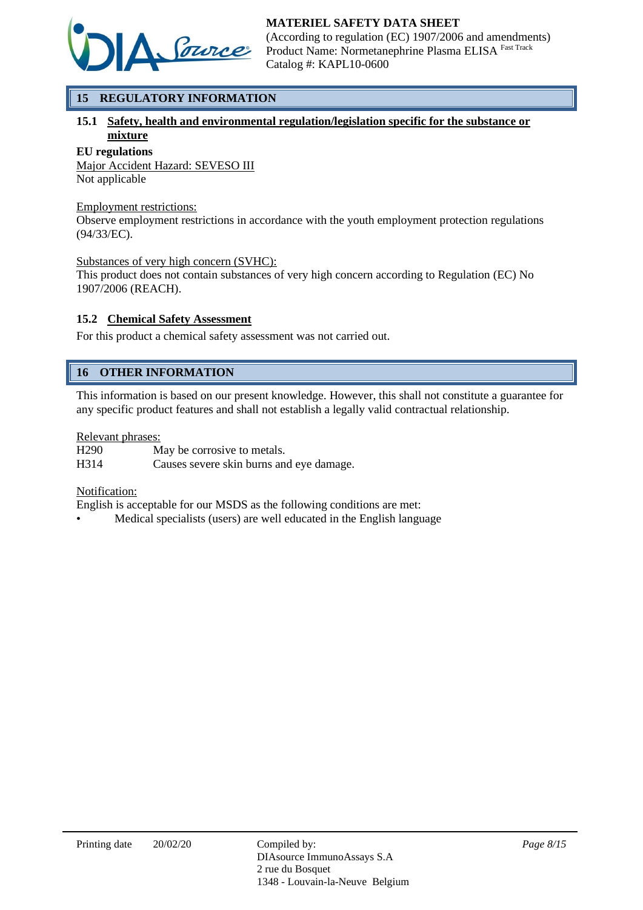

(According to regulation (EC) 1907/2006 and amendments) Product Name: Normetanephrine Plasma ELISA Fast Track Catalog #: KAPL10-0600

# **15 REGULATORY INFORMATION**

# **15.1 Safety, health and environmental regulation/legislation specific for the substance or mixture**

#### **EU regulations**

Major Accident Hazard: SEVESO III Not applicable

#### Employment restrictions:

Observe employment restrictions in accordance with the youth employment protection regulations (94/33/EC).

#### Substances of very high concern (SVHC):

This product does not contain substances of very high concern according to Regulation (EC) No 1907/2006 (REACH).

## **15.2 Chemical Safety Assessment**

For this product a chemical safety assessment was not carried out.

# **16 OTHER INFORMATION**

This information is based on our present knowledge. However, this shall not constitute a guarantee for any specific product features and shall not establish a legally valid contractual relationship.

#### Relevant phrases:

H290 May be corrosive to metals. H314 Causes severe skin burns and eye damage.

## Notification:

English is acceptable for our MSDS as the following conditions are met:

• Medical specialists (users) are well educated in the English language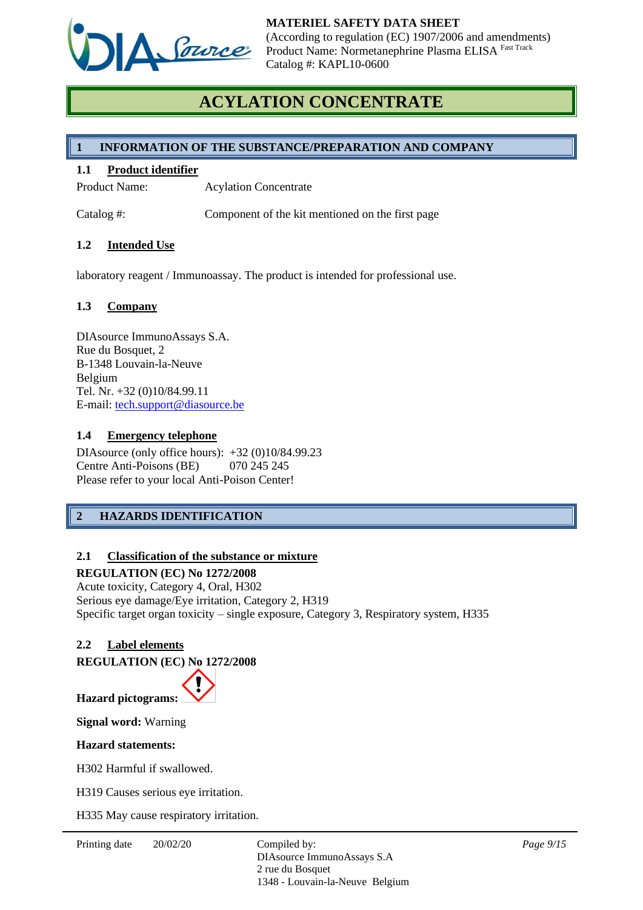

# **ACYLATION CONCENTRATE**

## **1 INFORMATION OF THE SUBSTANCE/PREPARATION AND COMPANY**

#### **1.1 Product identifier**

Product Name: Acylation Concentrate

Catalog #: Component of the kit mentioned on the first page

#### **1.2 Intended Use**

laboratory reagent / Immunoassay. The product is intended for professional use.

#### **1.3 Company**

DIAsource ImmunoAssays S.A. Rue du Bosquet, 2 B-1348 Louvain-la-Neuve Belgium Tel. Nr. +32 (0)10/84.99.11 E-mail: [tech.support@diasource.be](mailto:tech.support@diasource.be)

#### **1.4 Emergency telephone**

DIAsource (only office hours): +32 (0)10/84.99.23 Centre Anti-Poisons (BE) 070 245 245 Please refer to your local Anti-Poison Center!

# **2 HAZARDS IDENTIFICATION**

## **2.1 Classification of the substance or mixture**

#### **REGULATION (EC) No 1272/2008**

Acute toxicity, Category 4, Oral, H302 Serious eye damage/Eye irritation, Category 2, H319 Specific target organ toxicity – single exposure, Category 3, Respiratory system, H335

## **2.2 Label elements**

**REGULATION (EC) No 1272/2008**



**Signal word:** Warning

#### **Hazard statements:**

H302 Harmful if swallowed.

H319 Causes serious eye irritation.

H335 May cause respiratory irritation.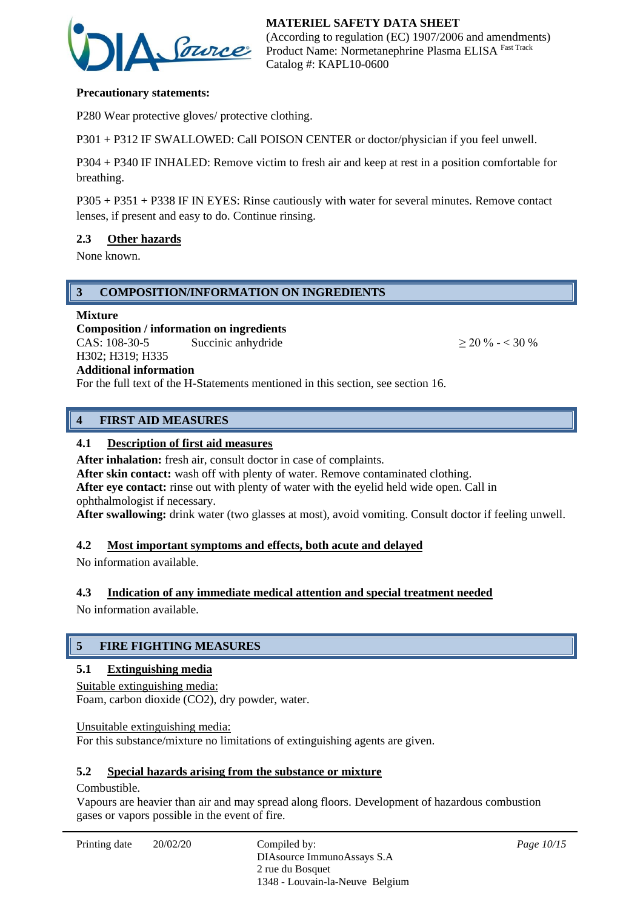

#### **Precautionary statements:**

P280 Wear protective gloves/ protective clothing.

P301 + P312 IF SWALLOWED: Call POISON CENTER or doctor/physician if you feel unwell.

P304 + P340 IF INHALED: Remove victim to fresh air and keep at rest in a position comfortable for breathing.

P305 + P351 + P338 IF IN EYES: Rinse cautiously with water for several minutes. Remove contact lenses, if present and easy to do. Continue rinsing.

#### **2.3 Other hazards**

None known.

#### **3 COMPOSITION/INFORMATION ON INGREDIENTS**

#### **Mixture**

**Composition / information on ingredients** CAS:  $108-30-5$  Succinic anhydride  $> 20 \% - < 30 \%$ H302; H319; H335

## **Additional information**

For the full text of the H-Statements mentioned in this section, see section 16.

## **4 FIRST AID MEASURES**

#### **4.1 Description of first aid measures**

After inhalation: fresh air, consult doctor in case of complaints.

After skin contact: wash off with plenty of water. Remove contaminated clothing.

**After eye contact:** rinse out with plenty of water with the eyelid held wide open. Call in ophthalmologist if necessary.

**After swallowing:** drink water (two glasses at most), avoid vomiting. Consult doctor if feeling unwell.

#### **4.2 Most important symptoms and effects, both acute and delayed**

No information available.

## **4.3 Indication of any immediate medical attention and special treatment needed**

No information available.

# **5 FIRE FIGHTING MEASURES**

#### **5.1 Extinguishing media**

Suitable extinguishing media: Foam, carbon dioxide (CO2), dry powder, water.

Unsuitable extinguishing media: For this substance/mixture no limitations of extinguishing agents are given.

#### **5.2 Special hazards arising from the substance or mixture**

#### Combustible.

Vapours are heavier than air and may spread along floors. Development of hazardous combustion gases or vapors possible in the event of fire.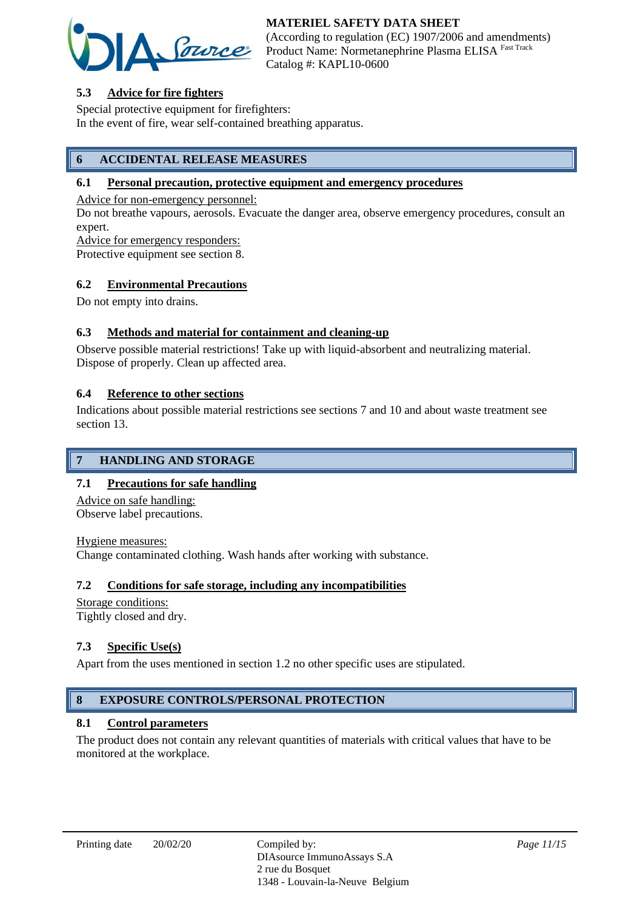

(According to regulation (EC) 1907/2006 and amendments) Product Name: Normetanephrine Plasma ELISA Fast Track Catalog #: KAPL10-0600

# **5.3 Advice for fire fighters**

Special protective equipment for firefighters: In the event of fire, wear self-contained breathing apparatus.

# **6 ACCIDENTAL RELEASE MEASURES**

#### **6.1 Personal precaution, protective equipment and emergency procedures**

Advice for non-emergency personnel:

Do not breathe vapours, aerosols. Evacuate the danger area, observe emergency procedures, consult an expert.

Advice for emergency responders:

Protective equipment see section 8.

#### **6.2 Environmental Precautions**

Do not empty into drains.

## **6.3 Methods and material for containment and cleaning-up**

Observe possible material restrictions! Take up with liquid-absorbent and neutralizing material. Dispose of properly. Clean up affected area.

#### **6.4 Reference to other sections**

Indications about possible material restrictions see sections 7 and 10 and about waste treatment see section 13.

# **7 HANDLING AND STORAGE**

## **7.1 Precautions for safe handling**

Advice on safe handling: Observe label precautions.

Hygiene measures:

Change contaminated clothing. Wash hands after working with substance.

## **7.2 Conditions for safe storage, including any incompatibilities**

Storage conditions: Tightly closed and dry.

## **7.3 Specific Use(s)**

Apart from the uses mentioned in section 1.2 no other specific uses are stipulated.

# **8 EXPOSURE CONTROLS/PERSONAL PROTECTION**

#### **8.1 Control parameters**

The product does not contain any relevant quantities of materials with critical values that have to be monitored at the workplace.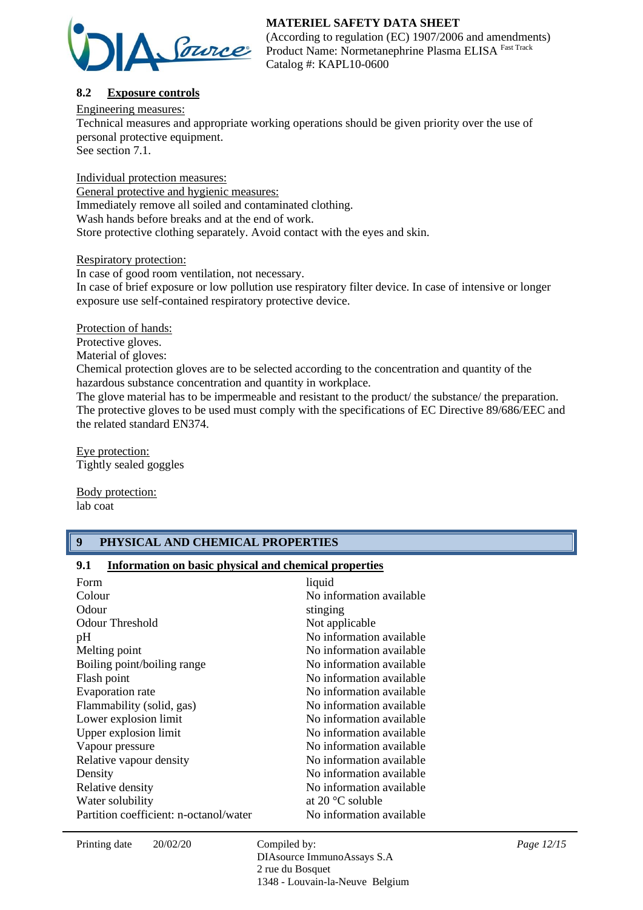

(According to regulation (EC) 1907/2006 and amendments) Product Name: Normetanephrine Plasma ELISA Fast Track Catalog #: KAPL10-0600

# **8.2 Exposure controls**

Engineering measures:

Technical measures and appropriate working operations should be given priority over the use of personal protective equipment.

See section 7.1.

Individual protection measures: General protective and hygienic measures: Immediately remove all soiled and contaminated clothing. Wash hands before breaks and at the end of work. Store protective clothing separately. Avoid contact with the eyes and skin.

Respiratory protection:

In case of good room ventilation, not necessary. In case of brief exposure or low pollution use respiratory filter device. In case of intensive or longer exposure use self-contained respiratory protective device.

Protection of hands:

Protective gloves.

Material of gloves:

Chemical protection gloves are to be selected according to the concentration and quantity of the hazardous substance concentration and quantity in workplace.

The glove material has to be impermeable and resistant to the product/ the substance/ the preparation. The protective gloves to be used must comply with the specifications of EC Directive 89/686/EEC and the related standard EN374.

Eye protection: Tightly sealed goggles

Body protection: lab coat

## **9 PHYSICAL AND CHEMICAL PROPERTIES**

## **9.1 Information on basic physical and chemical properties**

| Form<br>Colour<br>Odour                         | liquid<br>No information available                                                |
|-------------------------------------------------|-----------------------------------------------------------------------------------|
| <b>Odour Threshold</b><br>pH                    | stinging<br>Not applicable<br>No information available                            |
| Melting point<br>Boiling point/boiling range    | No information available<br>No information available                              |
| Flash point<br>Evaporation rate                 | No information available<br>No information available                              |
| Flammability (solid, gas)                       | No information available<br>No information available                              |
| Lower explosion limit<br>Upper explosion limit  | No information available                                                          |
| Vapour pressure<br>Relative vapour density      | No information available<br>No information available                              |
| Density<br>Relative density<br>Water solubility | No information available<br>No information available<br>at 20 $\degree$ C soluble |
| Partition coefficient: n-octanol/water          | No information available                                                          |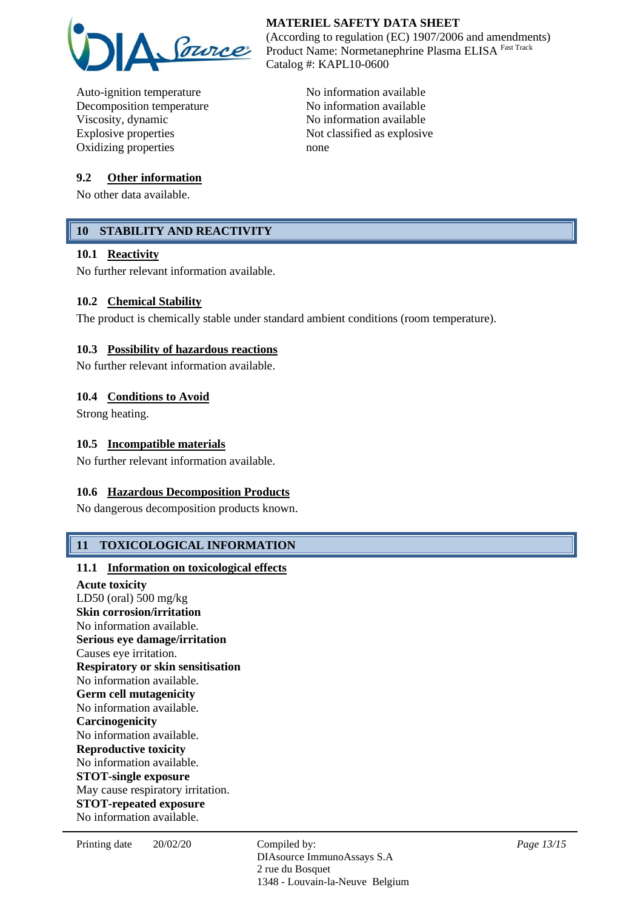

Auto-ignition temperature No information available Decomposition temperature No information available Viscosity, dynamic No information available Explosive properties Not classified as explosive Oxidizing properties none

#### **9.2 Other information**

No other data available.

# **10 STABILITY AND REACTIVITY**

#### **10.1 Reactivity**

No further relevant information available.

#### **10.2 Chemical Stability**

The product is chemically stable under standard ambient conditions (room temperature).

#### **10.3 Possibility of hazardous reactions**

No further relevant information available.

#### **10.4 Conditions to Avoid**

Strong heating.

#### **10.5 Incompatible materials**

No further relevant information available.

#### **10.6 Hazardous Decomposition Products**

No dangerous decomposition products known.

## **11 TOXICOLOGICAL INFORMATION**

#### **11.1 Information on toxicological effects**

**Acute toxicity** LD50 (oral) 500 mg/kg **Skin corrosion/irritation** No information available. **Serious eye damage/irritation** Causes eye irritation. **Respiratory or skin sensitisation** No information available. **Germ cell mutagenicity** No information available. **Carcinogenicity** No information available. **Reproductive toxicity** No information available. **STOT-single exposure** May cause respiratory irritation. **STOT-repeated exposure** No information available.

# **MATERIEL SAFETY DATA SHEET**

(According to regulation (EC) 1907/2006 and amendments) Product Name: Normetanephrine Plasma ELISA Fast Track Catalog #: KAPL10-0600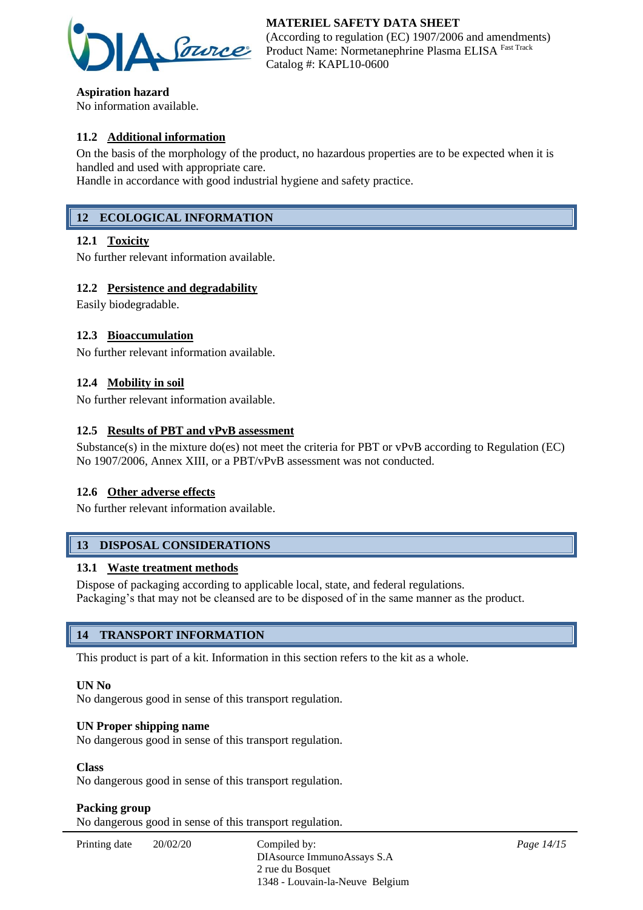

**Aspiration hazard** No information available.

# **11.2 Additional information**

On the basis of the morphology of the product, no hazardous properties are to be expected when it is handled and used with appropriate care.

Handle in accordance with good industrial hygiene and safety practice.

## **12 ECOLOGICAL INFORMATION**

#### **12.1 Toxicity**

No further relevant information available.

#### **12.2 Persistence and degradability**

Easily biodegradable.

#### **12.3 Bioaccumulation**

No further relevant information available.

#### **12.4 Mobility in soil**

No further relevant information available.

#### **12.5 Results of PBT and vPvB assessment**

Substance(s) in the mixture do(es) not meet the criteria for PBT or vPvB according to Regulation (EC) No 1907/2006, Annex XIII, or a PBT/vPvB assessment was not conducted.

#### **12.6 Other adverse effects**

No further relevant information available.

# **13 DISPOSAL CONSIDERATIONS**

#### **13.1 Waste treatment methods**

Dispose of packaging according to applicable local, state, and federal regulations. Packaging's that may not be cleansed are to be disposed of in the same manner as the product.

## **14 TRANSPORT INFORMATION**

This product is part of a kit. Information in this section refers to the kit as a whole.

#### **UN No**

No dangerous good in sense of this transport regulation.

#### **UN Proper shipping name**

No dangerous good in sense of this transport regulation.

#### **Class**

No dangerous good in sense of this transport regulation.

#### **Packing group**

No dangerous good in sense of this transport regulation.

| Printing date | 20/02/20<br>Compiled by: | DIAsource ImmunoAssays S.A      |
|---------------|--------------------------|---------------------------------|
|               |                          | 2 rue du Bosquet                |
|               |                          | 1348 - Louvain-la-Neuve Belgium |